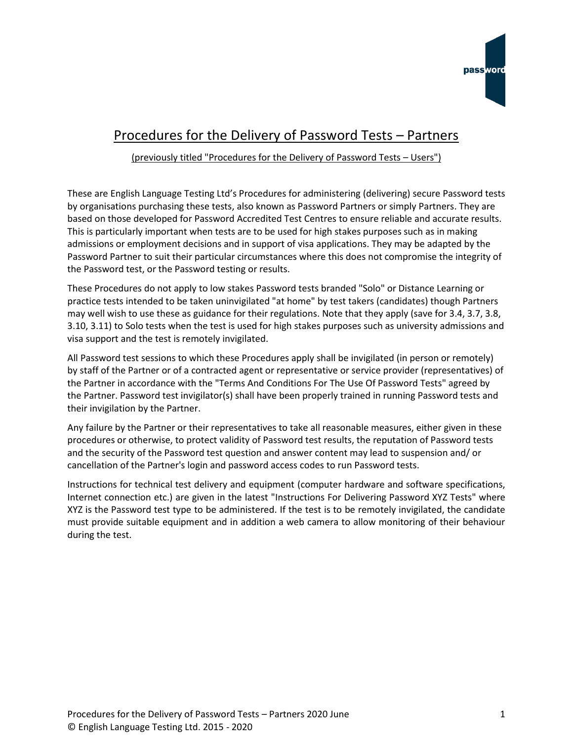

## Procedures for the Delivery of Password Tests – Partners

## (previously titled "Procedures for the Delivery of Password Tests – Users")

These are English Language Testing Ltd's Procedures for administering (delivering) secure Password tests by organisations purchasing these tests, also known as Password Partners or simply Partners. They are based on those developed for Password Accredited Test Centres to ensure reliable and accurate results. This is particularly important when tests are to be used for high stakes purposes such as in making admissions or employment decisions and in support of visa applications. They may be adapted by the Password Partner to suit their particular circumstances where this does not compromise the integrity of the Password test, or the Password testing or results.

These Procedures do not apply to low stakes Password tests branded "Solo" or Distance Learning or practice tests intended to be taken uninvigilated "at home" by test takers (candidates) though Partners may well wish to use these as guidance for their regulations. Note that they apply (save for 3.4, 3.7, 3.8, 3.10, 3.11) to Solo tests when the test is used for high stakes purposes such as university admissions and visa support and the test is remotely invigilated.

All Password test sessions to which these Procedures apply shall be invigilated (in person or remotely) by staff of the Partner or of a contracted agent or representative or service provider (representatives) of the Partner in accordance with the "Terms And Conditions For The Use Of Password Tests" agreed by the Partner. Password test invigilator(s) shall have been properly trained in running Password tests and their invigilation by the Partner.

Any failure by the Partner or their representatives to take all reasonable measures, either given in these procedures or otherwise, to protect validity of Password test results, the reputation of Password tests and the security of the Password test question and answer content may lead to suspension and/ or cancellation of the Partner's login and password access codes to run Password tests.

Instructions for technical test delivery and equipment (computer hardware and software specifications, Internet connection etc.) are given in the latest "Instructions For Delivering Password XYZ Tests" where XYZ is the Password test type to be administered. If the test is to be remotely invigilated, the candidate must provide suitable equipment and in addition a web camera to allow monitoring of their behaviour during the test.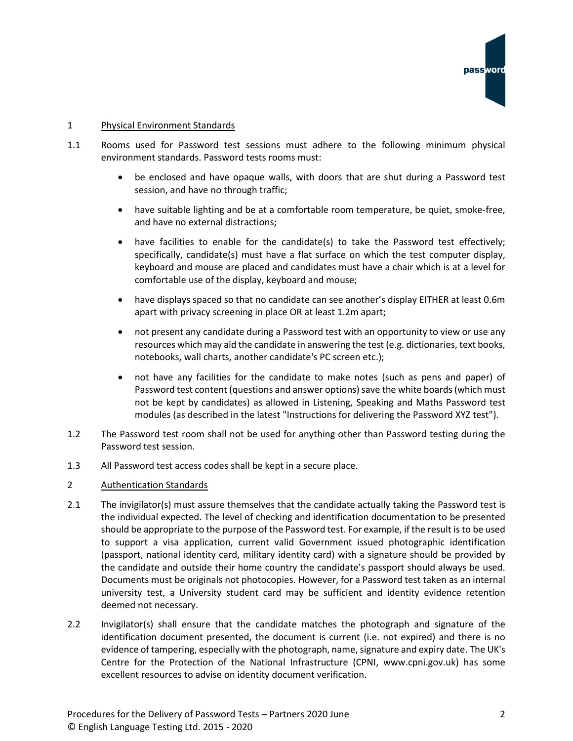

## 1 Physical Environment Standards

- 1.1 Rooms used for Password test sessions must adhere to the following minimum physical environment standards. Password tests rooms must:
	- be enclosed and have opaque walls, with doors that are shut during a Password test session, and have no through traffic;
	- have suitable lighting and be at a comfortable room temperature, be quiet, smoke-free, and have no external distractions;
	- have facilities to enable for the candidate(s) to take the Password test effectively; specifically, candidate(s) must have a flat surface on which the test computer display, keyboard and mouse are placed and candidates must have a chair which is at a level for comfortable use of the display, keyboard and mouse;
	- have displays spaced so that no candidate can see another's display EITHER at least 0.6m apart with privacy screening in place OR at least 1.2m apart;
	- not present any candidate during a Password test with an opportunity to view or use any resources which may aid the candidate in answering the test (e.g. dictionaries, text books, notebooks, wall charts, another candidate's PC screen etc.);
	- not have any facilities for the candidate to make notes (such as pens and paper) of Password test content (questions and answer options) save the white boards (which must not be kept by candidates) as allowed in Listening, Speaking and Maths Password test modules (as described in the latest "Instructions for delivering the Password XYZ test").
- 1.2 The Password test room shall not be used for anything other than Password testing during the Password test session.
- 1.3 All Password test access codes shall be kept in a secure place.
- 2 Authentication Standards
- 2.1 The invigilator(s) must assure themselves that the candidate actually taking the Password test is the individual expected. The level of checking and identification documentation to be presented should be appropriate to the purpose of the Password test. For example, if the result is to be used to support a visa application, current valid Government issued photographic identification (passport, national identity card, military identity card) with a signature should be provided by the candidate and outside their home country the candidate's passport should always be used. Documents must be originals not photocopies. However, for a Password test taken as an internal university test, a University student card may be sufficient and identity evidence retention deemed not necessary.
- 2.2 Invigilator(s) shall ensure that the candidate matches the photograph and signature of the identification document presented, the document is current (i.e. not expired) and there is no evidence of tampering, especially with the photograph, name, signature and expiry date. The UK's Centre for the Protection of the National Infrastructure (CPNI, www.cpni.gov.uk) has some excellent resources to advise on identity document verification.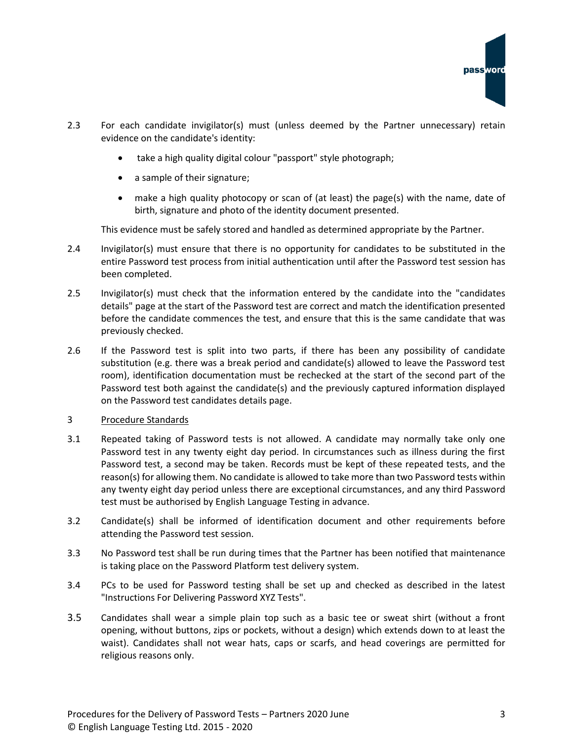- 2.3 For each candidate invigilator(s) must (unless deemed by the Partner unnecessary) retain evidence on the candidate's identity:
	- take a high quality digital colour "passport" style photograph;
	- a sample of their signature;
	- make a high quality photocopy or scan of (at least) the page(s) with the name, date of birth, signature and photo of the identity document presented.

This evidence must be safely stored and handled as determined appropriate by the Partner.

- 2.4 Invigilator(s) must ensure that there is no opportunity for candidates to be substituted in the entire Password test process from initial authentication until after the Password test session has been completed.
- 2.5 Invigilator(s) must check that the information entered by the candidate into the "candidates details" page at the start of the Password test are correct and match the identification presented before the candidate commences the test, and ensure that this is the same candidate that was previously checked.
- 2.6 If the Password test is split into two parts, if there has been any possibility of candidate substitution (e.g. there was a break period and candidate(s) allowed to leave the Password test room), identification documentation must be rechecked at the start of the second part of the Password test both against the candidate(s) and the previously captured information displayed on the Password test candidates details page.
- 3 Procedure Standards
- 3.1 Repeated taking of Password tests is not allowed. A candidate may normally take only one Password test in any twenty eight day period. In circumstances such as illness during the first Password test, a second may be taken. Records must be kept of these repeated tests, and the reason(s) for allowing them. No candidate is allowed to take more than two Password tests within any twenty eight day period unless there are exceptional circumstances, and any third Password test must be authorised by English Language Testing in advance.
- 3.2 Candidate(s) shall be informed of identification document and other requirements before attending the Password test session.
- 3.3 No Password test shall be run during times that the Partner has been notified that maintenance is taking place on the Password Platform test delivery system.
- 3.4 PCs to be used for Password testing shall be set up and checked as described in the latest "Instructions For Delivering Password XYZ Tests".
- 3.5 Candidates shall wear a simple plain top such as a basic tee or sweat shirt (without a front opening, without buttons, zips or pockets, without a design) which extends down to at least the waist). Candidates shall not wear hats, caps or scarfs, and head coverings are permitted for religious reasons only.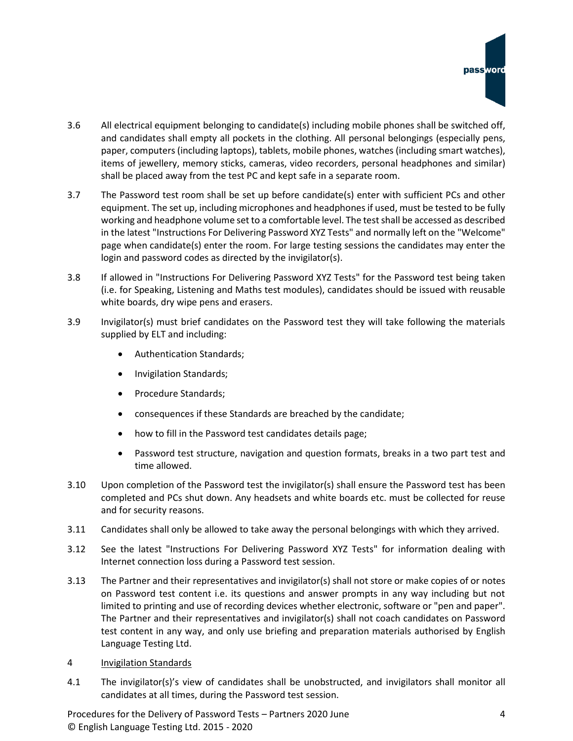- 3.6 All electrical equipment belonging to candidate(s) including mobile phones shall be switched off, and candidates shall empty all pockets in the clothing. All personal belongings (especially pens, paper, computers (including laptops), tablets, mobile phones, watches (including smart watches), items of jewellery, memory sticks, cameras, video recorders, personal headphones and similar) shall be placed away from the test PC and kept safe in a separate room.
- 3.7 The Password test room shall be set up before candidate(s) enter with sufficient PCs and other equipment. The set up, including microphones and headphones if used, must be tested to be fully working and headphone volume set to a comfortable level. The test shall be accessed as described in the latest "Instructions For Delivering Password XYZ Tests" and normally left on the "Welcome" page when candidate(s) enter the room. For large testing sessions the candidates may enter the login and password codes as directed by the invigilator(s).
- 3.8 If allowed in "Instructions For Delivering Password XYZ Tests" for the Password test being taken (i.e. for Speaking, Listening and Maths test modules), candidates should be issued with reusable white boards, dry wipe pens and erasers.
- 3.9 Invigilator(s) must brief candidates on the Password test they will take following the materials supplied by ELT and including:
	- Authentication Standards;
	- Invigilation Standards;
	- Procedure Standards;
	- consequences if these Standards are breached by the candidate;
	- how to fill in the Password test candidates details page;
	- Password test structure, navigation and question formats, breaks in a two part test and time allowed.
- 3.10 Upon completion of the Password test the invigilator(s) shall ensure the Password test has been completed and PCs shut down. Any headsets and white boards etc. must be collected for reuse and for security reasons.
- 3.11 Candidates shall only be allowed to take away the personal belongings with which they arrived.
- 3.12 See the latest "Instructions For Delivering Password XYZ Tests" for information dealing with Internet connection loss during a Password test session.
- 3.13 The Partner and their representatives and invigilator(s) shall not store or make copies of or notes on Password test content i.e. its questions and answer prompts in any way including but not limited to printing and use of recording devices whether electronic, software or "pen and paper". The Partner and their representatives and invigilator(s) shall not coach candidates on Password test content in any way, and only use briefing and preparation materials authorised by English Language Testing Ltd.
- 4 Invigilation Standards
- 4.1 The invigilator(s)'s view of candidates shall be unobstructed, and invigilators shall monitor all candidates at all times, during the Password test session.

Procedures for the Delivery of Password Tests – Partners 2020 June 4 © English Language Testing Ltd. 2015 - 2020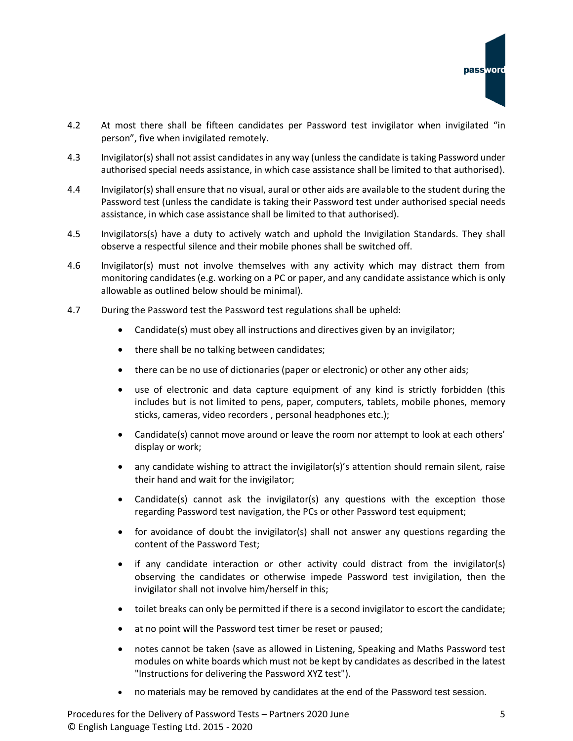- 4.2 At most there shall be fifteen candidates per Password test invigilator when invigilated "in person", five when invigilated remotely.
- 4.3 Invigilator(s) shall not assist candidates in any way (unless the candidate is taking Password under authorised special needs assistance, in which case assistance shall be limited to that authorised).
- 4.4 Invigilator(s) shall ensure that no visual, aural or other aids are available to the student during the Password test (unless the candidate is taking their Password test under authorised special needs assistance, in which case assistance shall be limited to that authorised).
- 4.5 Invigilators(s) have a duty to actively watch and uphold the Invigilation Standards. They shall observe a respectful silence and their mobile phones shall be switched off.
- 4.6 Invigilator(s) must not involve themselves with any activity which may distract them from monitoring candidates (e.g. working on a PC or paper, and any candidate assistance which is only allowable as outlined below should be minimal).
- 4.7 During the Password test the Password test regulations shall be upheld:
	- Candidate(s) must obey all instructions and directives given by an invigilator;
	- there shall be no talking between candidates;
	- there can be no use of dictionaries (paper or electronic) or other any other aids;
	- use of electronic and data capture equipment of any kind is strictly forbidden (this includes but is not limited to pens, paper, computers, tablets, mobile phones, memory sticks, cameras, video recorders , personal headphones etc.);
	- Candidate(s) cannot move around or leave the room nor attempt to look at each others' display or work;
	- any candidate wishing to attract the invigilator(s)'s attention should remain silent, raise their hand and wait for the invigilator;
	- Candidate(s) cannot ask the invigilator(s) any questions with the exception those regarding Password test navigation, the PCs or other Password test equipment;
	- for avoidance of doubt the invigilator(s) shall not answer any questions regarding the content of the Password Test;
	- if any candidate interaction or other activity could distract from the invigilator(s) observing the candidates or otherwise impede Password test invigilation, then the invigilator shall not involve him/herself in this;
	- toilet breaks can only be permitted if there is a second invigilator to escort the candidate;
	- at no point will the Password test timer be reset or paused;
	- notes cannot be taken (save as allowed in Listening, Speaking and Maths Password test modules on white boards which must not be kept by candidates as described in the latest "Instructions for delivering the Password XYZ test").
	- no materials may be removed by candidates at the end of the Password test session.

Procedures for the Delivery of Password Tests – Partners 2020 June 5 5 © English Language Testing Ltd. 2015 - 2020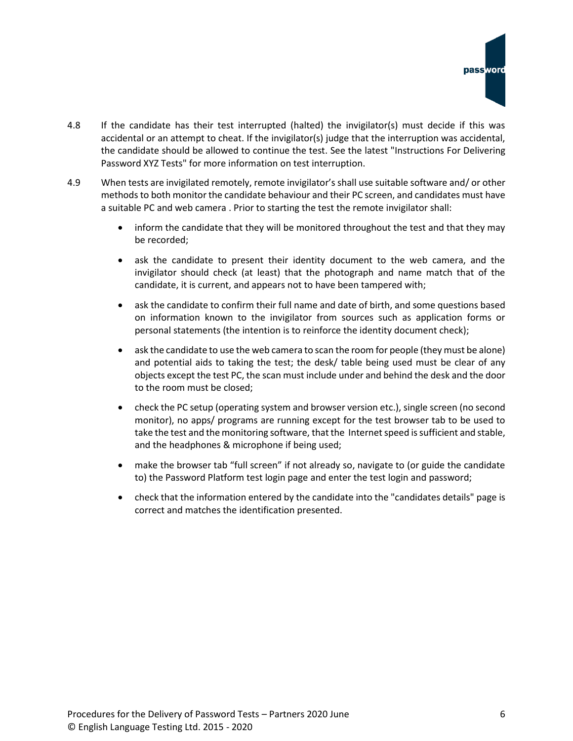- 4.8 If the candidate has their test interrupted (halted) the invigilator(s) must decide if this was accidental or an attempt to cheat. If the invigilator(s) judge that the interruption was accidental, the candidate should be allowed to continue the test. See the latest "Instructions For Delivering Password XYZ Tests" for more information on test interruption.
- 4.9 When tests are invigilated remotely, remote invigilator's shall use suitable software and/ or other methods to both monitor the candidate behaviour and their PC screen, and candidates must have a suitable PC and web camera . Prior to starting the test the remote invigilator shall:
	- inform the candidate that they will be monitored throughout the test and that they may be recorded;
	- ask the candidate to present their identity document to the web camera, and the invigilator should check (at least) that the photograph and name match that of the candidate, it is current, and appears not to have been tampered with;
	- ask the candidate to confirm their full name and date of birth, and some questions based on information known to the invigilator from sources such as application forms or personal statements (the intention is to reinforce the identity document check);
	- ask the candidate to use the web camera to scan the room for people (they must be alone) and potential aids to taking the test; the desk/ table being used must be clear of any objects except the test PC, the scan must include under and behind the desk and the door to the room must be closed;
	- check the PC setup (operating system and browser version etc.), single screen (no second monitor), no apps/ programs are running except for the test browser tab to be used to take the test and the monitoring software, that the Internet speed is sufficient and stable, and the headphones & microphone if being used;
	- make the browser tab "full screen" if not already so, navigate to (or guide the candidate to) the Password Platform test login page and enter the test login and password;
	- check that the information entered by the candidate into the "candidates details" page is correct and matches the identification presented.